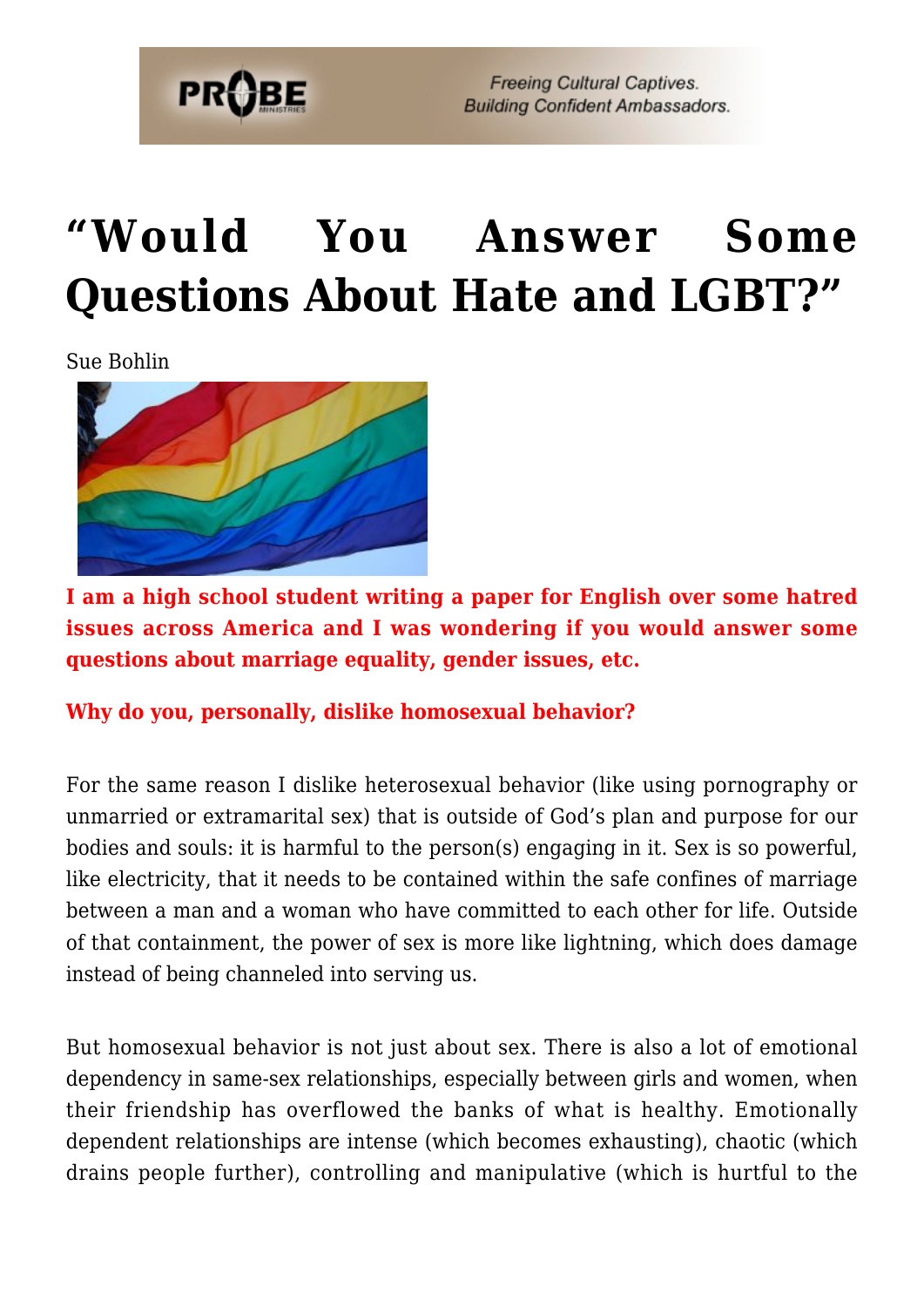

# **["Would You Answer Some](https://probe.org/would-you-answer-some-questions-about-hate-and-lgbt/) [Questions About Hate and LGBT?"](https://probe.org/would-you-answer-some-questions-about-hate-and-lgbt/)**

Sue Bohlin



**I am a high school student writing a paper for English over some hatred issues across America and I was wondering if you would answer some questions about marriage equality, gender issues, etc.**

**Why do you, personally, dislike homosexual behavior?**

For the same reason I dislike heterosexual behavior (like using pornography or unmarried or extramarital sex) that is outside of God's plan and purpose for our bodies and souls: it is harmful to the person(s) engaging in it. Sex is so powerful, like electricity, that it needs to be contained within the safe confines of marriage between a man and a woman who have committed to each other for life. Outside of that containment, the power of sex is more like lightning, which does damage instead of being channeled into serving us.

But homosexual behavior is not just about sex. There is also a lot of emotional dependency in same-sex relationships, especially between girls and women, when their friendship has overflowed the banks of what is healthy. Emotionally dependent relationships are intense (which becomes exhausting), chaotic (which drains people further), controlling and manipulative (which is hurtful to the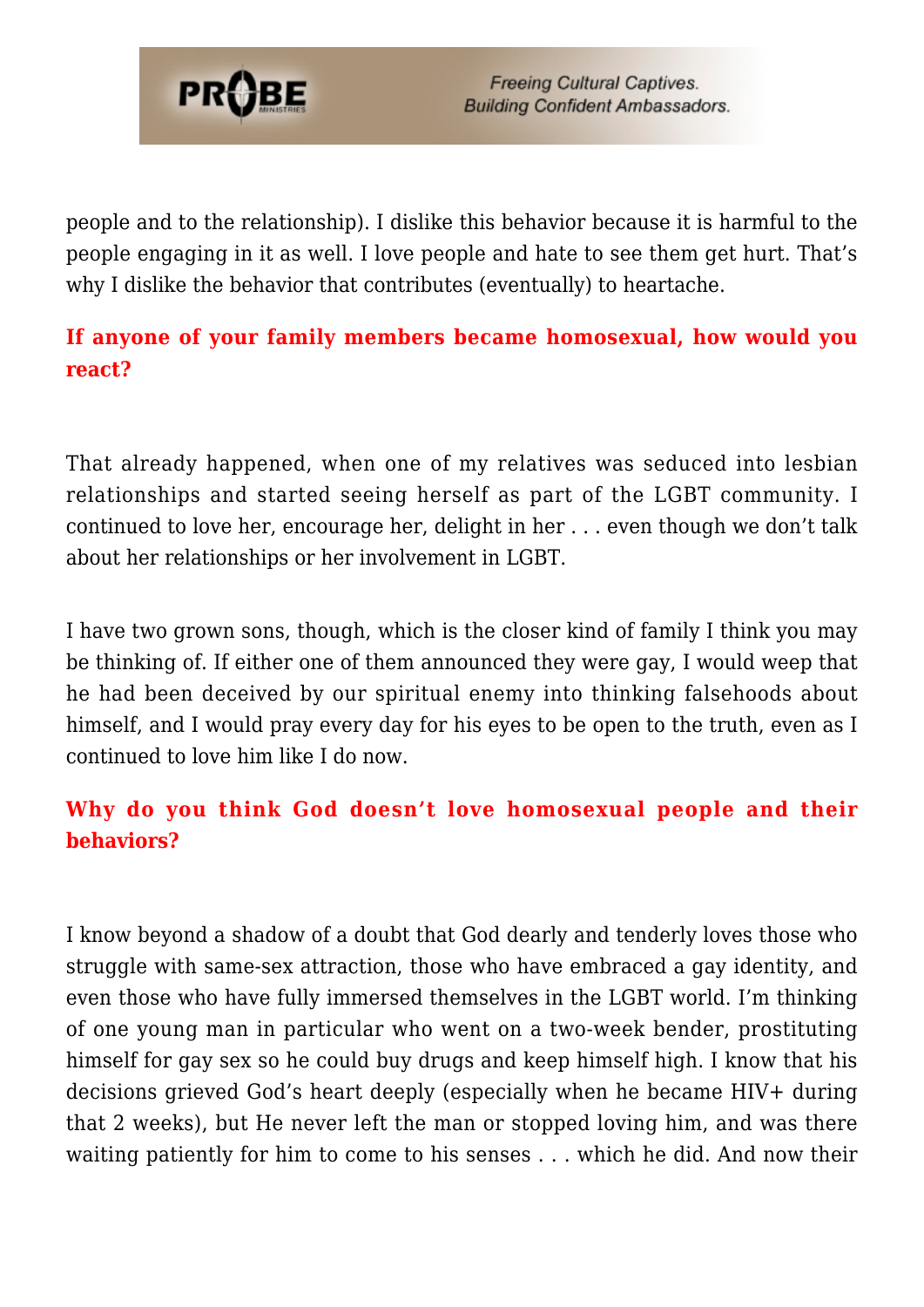

people and to the relationship). I dislike this behavior because it is harmful to the people engaging in it as well. I love people and hate to see them get hurt. That's why I dislike the behavior that contributes (eventually) to heartache.

### **If anyone of your family members became homosexual, how would you react?**

That already happened, when one of my relatives was seduced into lesbian relationships and started seeing herself as part of the LGBT community. I continued to love her, encourage her, delight in her . . . even though we don't talk about her relationships or her involvement in LGBT.

I have two grown sons, though, which is the closer kind of family I think you may be thinking of. If either one of them announced they were gay, I would weep that he had been deceived by our spiritual enemy into thinking falsehoods about himself, and I would pray every day for his eyes to be open to the truth, even as I continued to love him like I do now.

### **Why do you think God doesn't love homosexual people and their behaviors?**

I know beyond a shadow of a doubt that God dearly and tenderly loves those who struggle with same-sex attraction, those who have embraced a gay identity, and even those who have fully immersed themselves in the LGBT world. I'm thinking of one young man in particular who went on a two-week bender, prostituting himself for gay sex so he could buy drugs and keep himself high. I know that his decisions grieved God's heart deeply (especially when he became HIV+ during that 2 weeks), but He never left the man or stopped loving him, and was there waiting patiently for him to come to his senses . . . which he did. And now their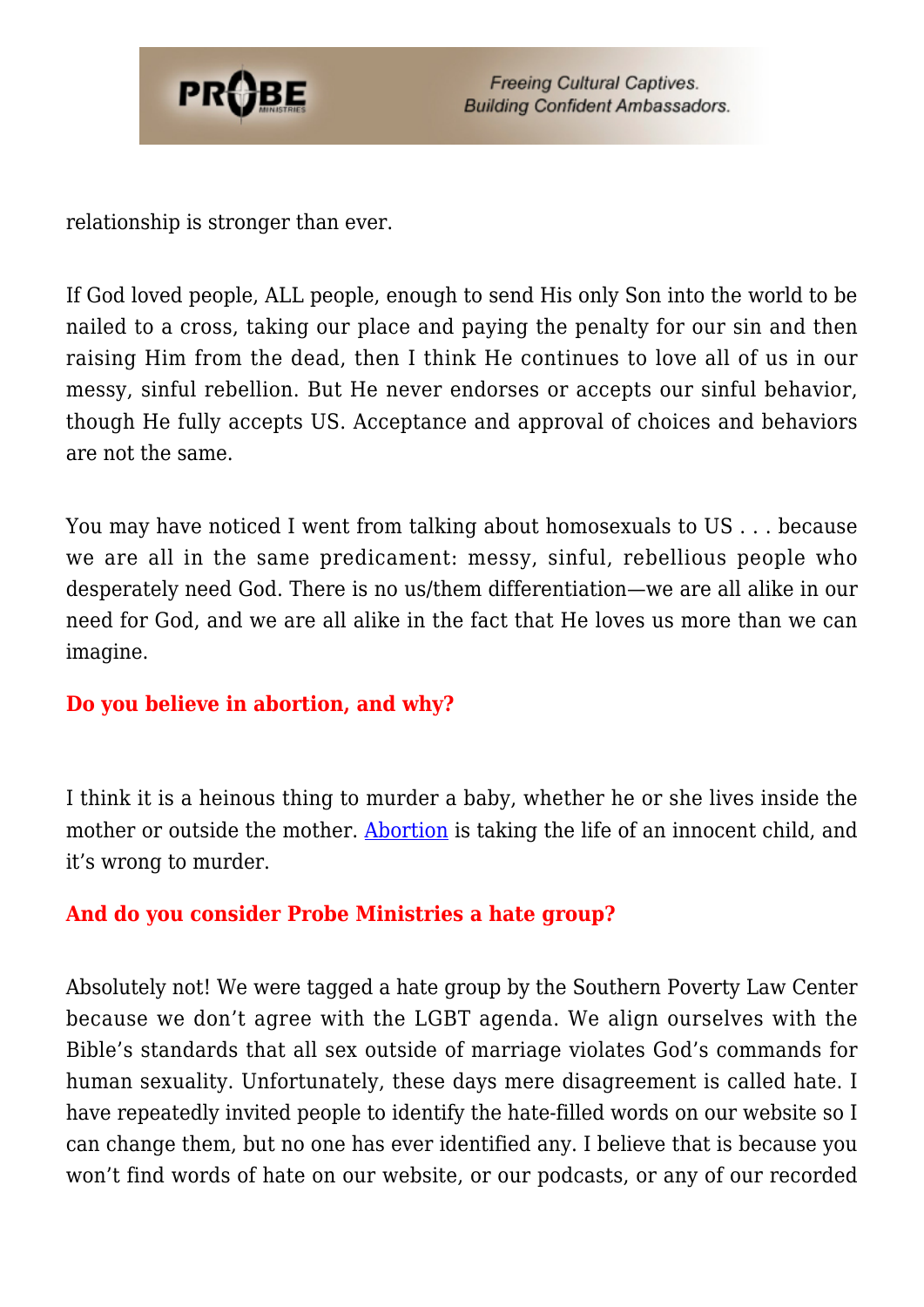

relationship is stronger than ever.

If God loved people, ALL people, enough to send His only Son into the world to be nailed to a cross, taking our place and paying the penalty for our sin and then raising Him from the dead, then I think He continues to love all of us in our messy, sinful rebellion. But He never endorses or accepts our sinful behavior, though He fully accepts US. Acceptance and approval of choices and behaviors are not the same.

You may have noticed I went from talking about homosexuals to US . . . because we are all in the same predicament: messy, sinful, rebellious people who desperately need God. There is no us/them differentiation—we are all alike in our need for God, and we are all alike in the fact that He loves us more than we can imagine.

#### **Do you believe in abortion, and why?**

I think it is a heinous thing to murder a baby, whether he or she lives inside the mother or outside the mother. [Abortion](https://www.probe.org/the-dark-underside-of-abortion/) is taking the life of an innocent child, and it's wrong to murder.

#### **And do you consider Probe Ministries a hate group?**

Absolutely not! We were tagged a hate group by the Southern Poverty Law Center because we don't agree with the LGBT agenda. We align ourselves with the Bible's standards that all sex outside of marriage violates God's commands for human sexuality. Unfortunately, these days mere disagreement is called hate. I have repeatedly invited people to identify the hate-filled words on our website so I can change them, but no one has ever identified any. I believe that is because you won't find words of hate on our website, or our podcasts, or any of our recorded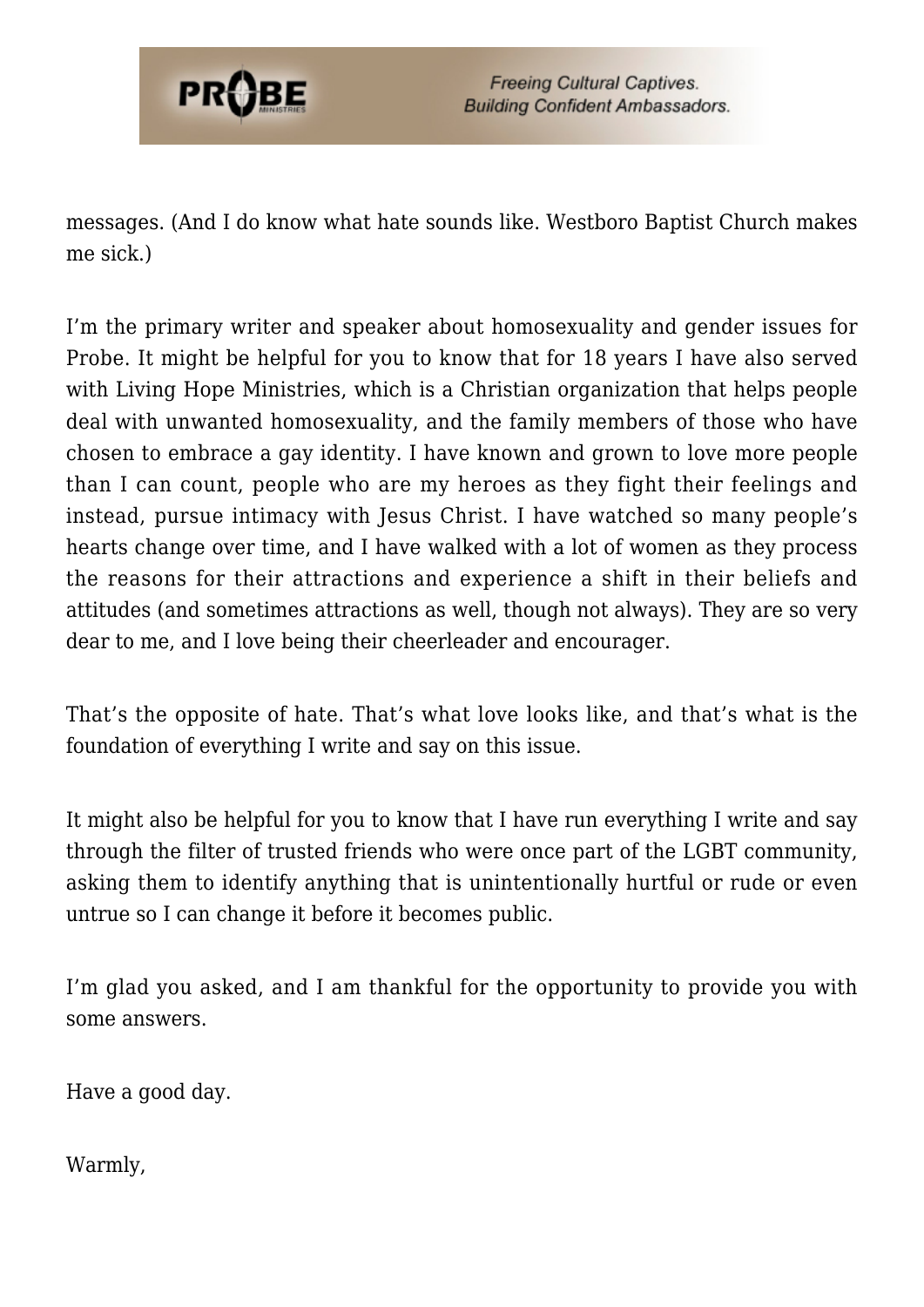

messages. (And I do know what hate sounds like. Westboro Baptist Church makes me sick.)

I'm the primary writer and speaker about homosexuality and gender issues for Probe. It might be helpful for you to know that for 18 years I have also served with Living Hope Ministries, which is a Christian organization that helps people deal with unwanted homosexuality, and the family members of those who have chosen to embrace a gay identity. I have known and grown to love more people than I can count, people who are my heroes as they fight their feelings and instead, pursue intimacy with Jesus Christ. I have watched so many people's hearts change over time, and I have walked with a lot of women as they process the reasons for their attractions and experience a shift in their beliefs and attitudes (and sometimes attractions as well, though not always). They are so very dear to me, and I love being their cheerleader and encourager.

That's the opposite of hate. That's what love looks like, and that's what is the foundation of everything I write and say on this issue.

It might also be helpful for you to know that I have run everything I write and say through the filter of trusted friends who were once part of the LGBT community, asking them to identify anything that is unintentionally hurtful or rude or even untrue so I can change it before it becomes public.

I'm glad you asked, and I am thankful for the opportunity to provide you with some answers.

Have a good day.

Warmly,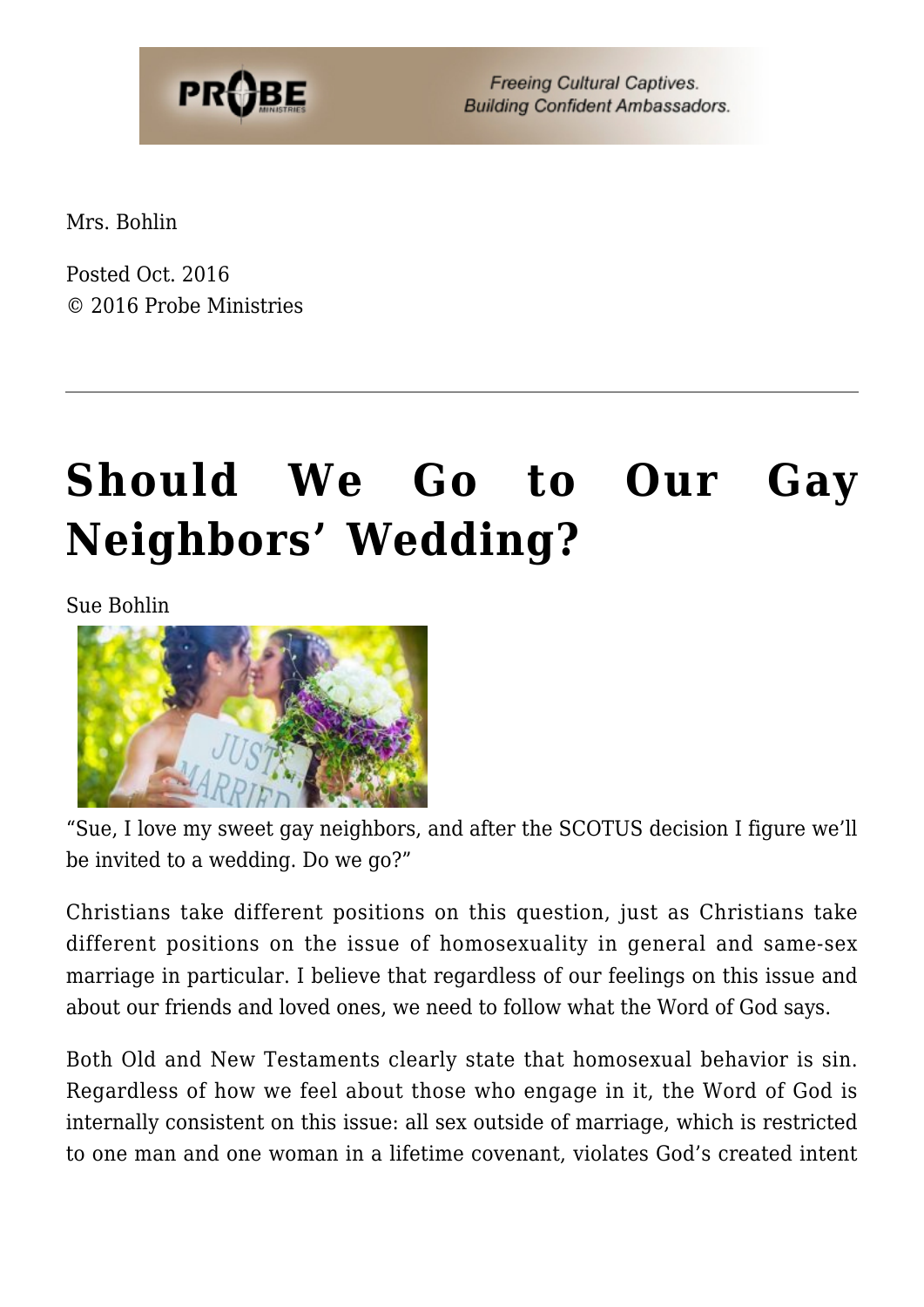

**Freeing Cultural Captives. Building Confident Ambassadors.** 

Mrs. Bohlin

Posted Oct. 2016 © 2016 Probe Ministries

# **[Should We Go to Our Gay](https://probe.org/should-we-go-to-our-gay-neighbors-wedding/) [Neighbors' Wedding?](https://probe.org/should-we-go-to-our-gay-neighbors-wedding/)**

Sue Bohlin



"Sue, I love my sweet gay neighbors, and after the SCOTUS decision I figure we'll be invited to a wedding. Do we go?"

Christians take different positions on this question, just as Christians take different positions on the issue of homosexuality in general and same-sex marriage in particular. I believe that regardless of our feelings on this issue and about our friends and loved ones, we need to follow what the Word of God says.

Both Old and New Testaments clearly state that homosexual behavior is sin. Regardless of how we feel about those who engage in it, the Word of God is internally consistent on this issue: all sex outside of marriage, which is restricted to one man and one woman in a lifetime covenant, violates God's created intent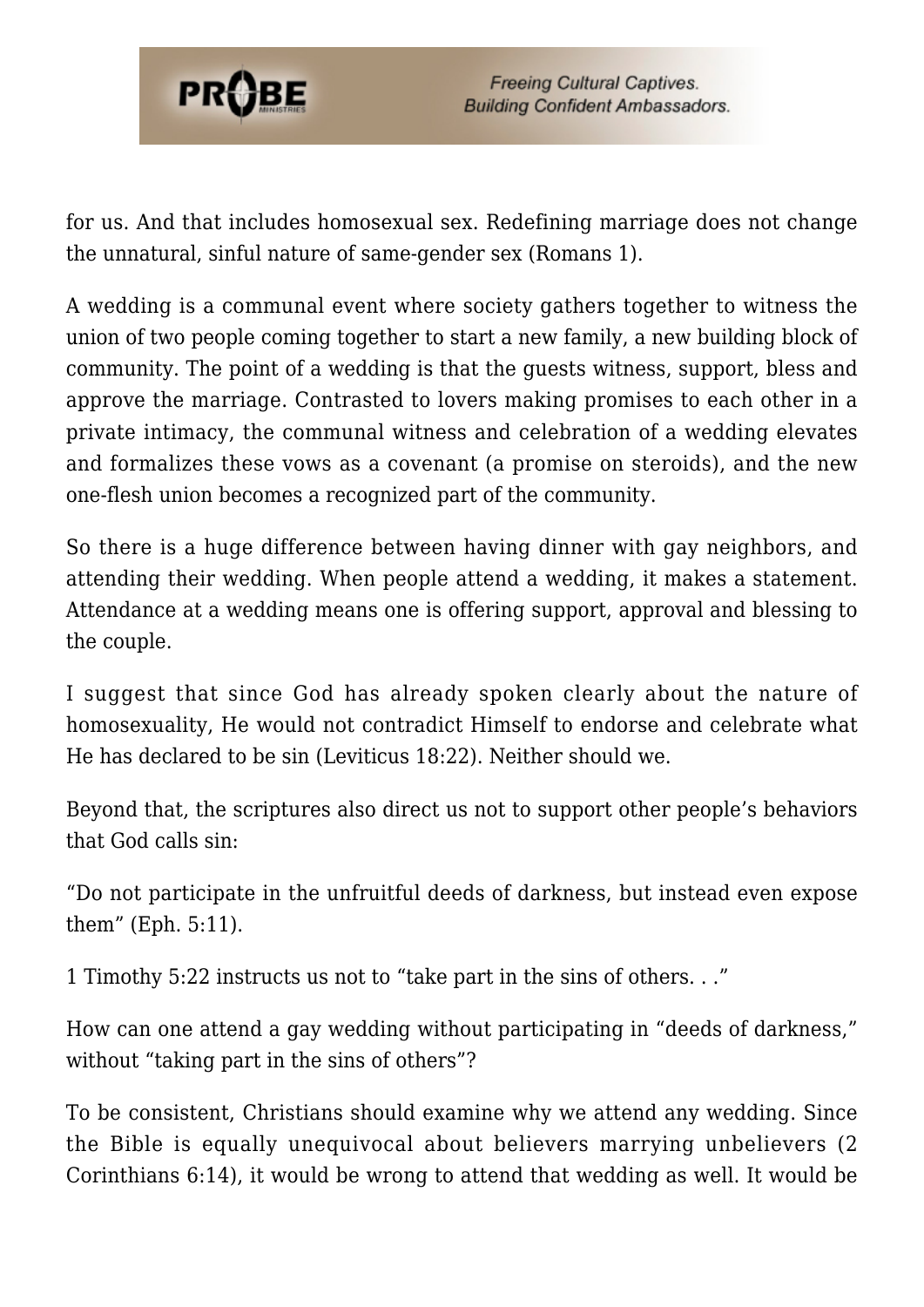

for us. And that includes homosexual sex. Redefining marriage does not change the unnatural, sinful nature of same-gender sex (Romans 1).

A wedding is a communal event where society gathers together to witness the union of two people coming together to start a new family, a new building block of community. The point of a wedding is that the guests witness, support, bless and approve the marriage. Contrasted to lovers making promises to each other in a private intimacy, the communal witness and celebration of a wedding elevates and formalizes these vows as a covenant (a promise on steroids), and the new one-flesh union becomes a recognized part of the community.

So there is a huge difference between having dinner with gay neighbors, and attending their wedding. When people attend a wedding, it makes a statement. Attendance at a wedding means one is offering support, approval and blessing to the couple.

I suggest that since God has already spoken clearly about the nature of homosexuality, He would not contradict Himself to endorse and celebrate what He has declared to be sin (Leviticus 18:22). Neither should we.

Beyond that, the scriptures also direct us not to support other people's behaviors that God calls sin:

"Do not participate in the unfruitful deeds of darkness, but instead even expose them" (Eph. 5:11).

1 Timothy 5:22 instructs us not to "take part in the sins of others. . ."

How can one attend a gay wedding without participating in "deeds of darkness," without "taking part in the sins of others"?

To be consistent, Christians should examine why we attend any wedding. Since the Bible is equally unequivocal about believers marrying unbelievers (2 Corinthians 6:14), it would be wrong to attend that wedding as well. It would be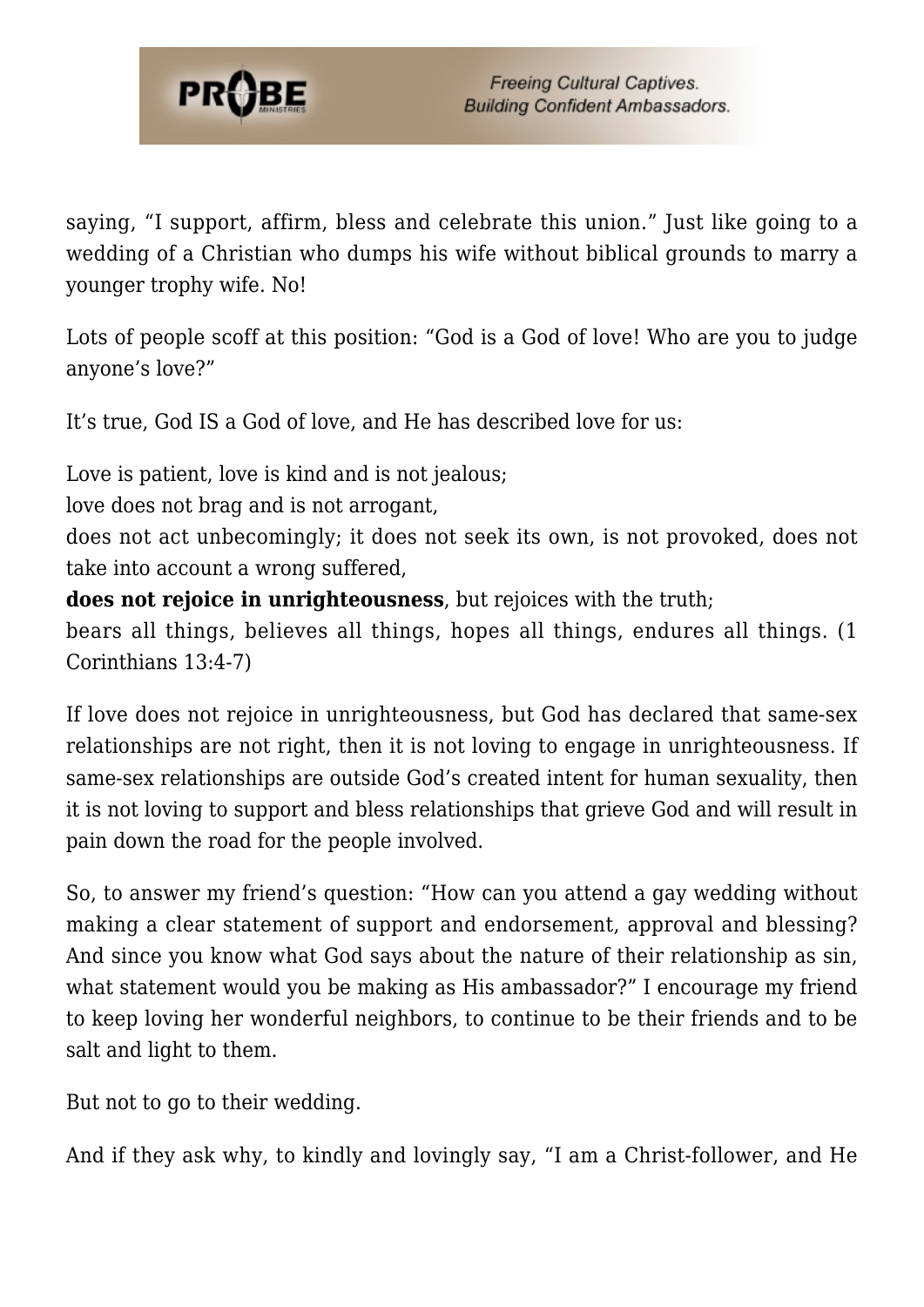

saying, "I support, affirm, bless and celebrate this union." Just like going to a wedding of a Christian who dumps his wife without biblical grounds to marry a younger trophy wife. No!

Lots of people scoff at this position: "God is a God of love! Who are you to judge anyone's love?"

It's true, God IS a God of love, and He has described love for us:

Love is patient, love is kind and is not jealous;

love does not brag and is not arrogant,

does not act unbecomingly; it does not seek its own, is not provoked, does not take into account a wrong suffered,

**does not rejoice in unrighteousness**, but rejoices with the truth;

bears all things, believes all things, hopes all things, endures all things. (1 Corinthians 13:4-7)

If love does not rejoice in unrighteousness, but God has declared that same-sex relationships are not right, then it is not loving to engage in unrighteousness. If same-sex relationships are outside God's created intent for human sexuality, then it is not loving to support and bless relationships that grieve God and will result in pain down the road for the people involved.

So, to answer my friend's question: "How can you attend a gay wedding without making a clear statement of support and endorsement, approval and blessing? And since you know what God says about the nature of their relationship as sin, what statement would you be making as His ambassador?" I encourage my friend to keep loving her wonderful neighbors, to continue to be their friends and to be salt and light to them.

But not to go to their wedding.

And if they ask why, to kindly and lovingly say, "I am a Christ-follower, and He